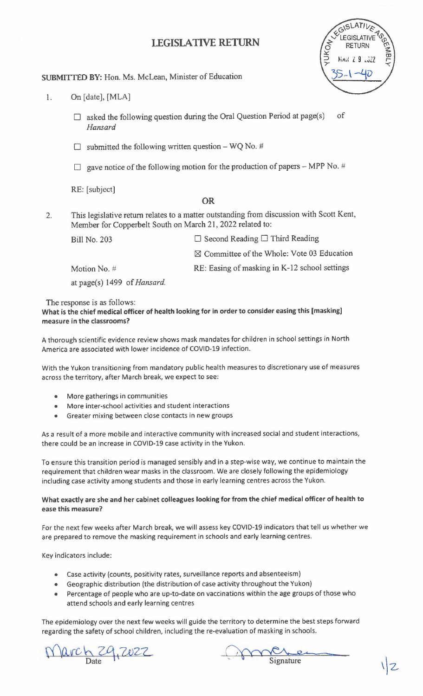# **LEGISLATIVE RETURN**



### **SUBMITTED BY:** Hon. Ms. McLean, Minister of Education

- 1. On [date], [MLA]
	- $\Box$  asked the following question during the Oral Question Period at page(s) of *Hansard*
	- $\Box$  submitted the following written question WQ No. #
	- $\Box$  gave notice of the following motion for the production of papers MPP No. #

RE: [subject]

## **OR**

2. This legislative return relates to a matter outstanding from discussion with Scott Kent, Member for Copperbelt South on March 21, 2022 related to:

| <b>Bill No. 203</b>                                                             | $\Box$ Second Reading $\Box$ Third Reading            |
|---------------------------------------------------------------------------------|-------------------------------------------------------|
|                                                                                 | $\boxtimes$ Committee of the Whole: Vote 03 Education |
| Motion No. #                                                                    | RE: Easing of masking in K-12 school settings         |
| $\lambda$ $\lambda$ $\lambda$ $\lambda$ $\lambda$ $\lambda$ $\lambda$ $\lambda$ |                                                       |

at page(s) 1499 of *Hansard.* 

The response is as follows:

**What is the chief medical officer of health looking for in order to consider easing this (masking] measure** in **the classrooms?** 

A thorough scientific evidence review shows mask mandates for children in school settings in North America are associated with lower incidence of COVID-19 infection.

With the Yukon transitioning from mandatory public health measures to discretionary use of measures across the territory, after March break, we expect to see:

- More gatherings in communities
- More inter-school activities and student interactions
- Greater mixing between close contacts in new groups

As a result of a more mobile and interactive community with increased social and student interactions, there could be an increase in COVID-19 case activity in the Yukon.

To ensure this transition period is managed sensibly and in a step-wise way, we continue to maintain the requirement that children wear masks in the classroom. We are closely following the epidemiology including case activity among students and those in early learning centres across the Yukon.

#### **What exactly are she and her cabinet colleagues looking for from the chief medical officer of health to ease this measure?**

For the next few weeks after March break, we will assess key COVID-19 indicators that tell us whether we are prepared to remove the masking requirement in schools and early learning centres.

Key indicators include:

- Case activity (counts, positivity rates, surveillance reports and absenteeism)
- Geographic distribution (the distribution of case activity throughout the Yukon)
- Percentage of people who are up-to-date on vaccinations within the age groups of those who attend schools and early learning centres

The epidemiology over the next few weeks will guide the territory to determine the best steps forward regarding the safety of school children, including the re-evaluation of masking in schools.

 $\alpha$ rch 29, 2022

Signature